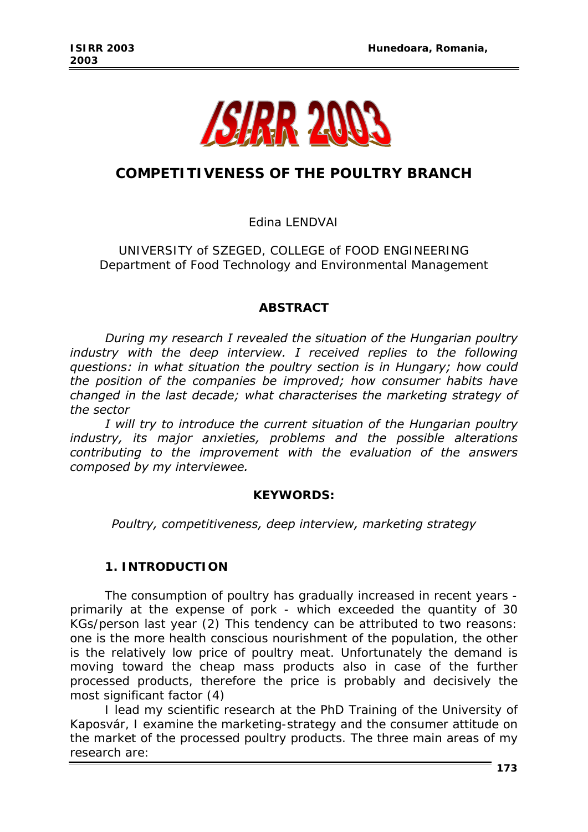

# **COMPETITIVENESS OF THE POULTRY BRANCH**

Edina LENDVAI

UNIVERSITY of SZEGED, COLLEGE of FOOD ENGINEERING Department of Food Technology and Environmental Management

## *ABSTRACT*

*During my research I revealed the situation of the Hungarian poultry*  industry with the deep interview. I received replies to the following *questions: in what situation the poultry section is in Hungary; how could the position of the companies be improved; how consumer habits have changed in the last decade; what characterises the marketing strategy of the sector* 

*I will try to introduce the current situation of the Hungarian poultry industry, its major anxieties, problems and the possible alterations contributing to the improvement with the evaluation of the answers composed by my interviewee.* 

#### *KEYWORDS:*

*Poultry, competitiveness, deep interview, marketing strategy* 

#### **1. INTRODUCTION**

The consumption of poultry has gradually increased in recent years primarily at the expense of pork - which exceeded the quantity of 30 KGs/person last year (2) This tendency can be attributed to two reasons: one is the more health conscious nourishment of the population, the other is the relatively low price of poultry meat. Unfortunately the demand is moving toward the cheap mass products also in case of the further processed products, therefore the price is probably and decisively the most significant factor (4)

I lead my scientific research at the PhD Training of the University of Kaposvár, I examine the marketing-strategy and the consumer attitude on the market of the processed poultry products. The three main areas of my research are: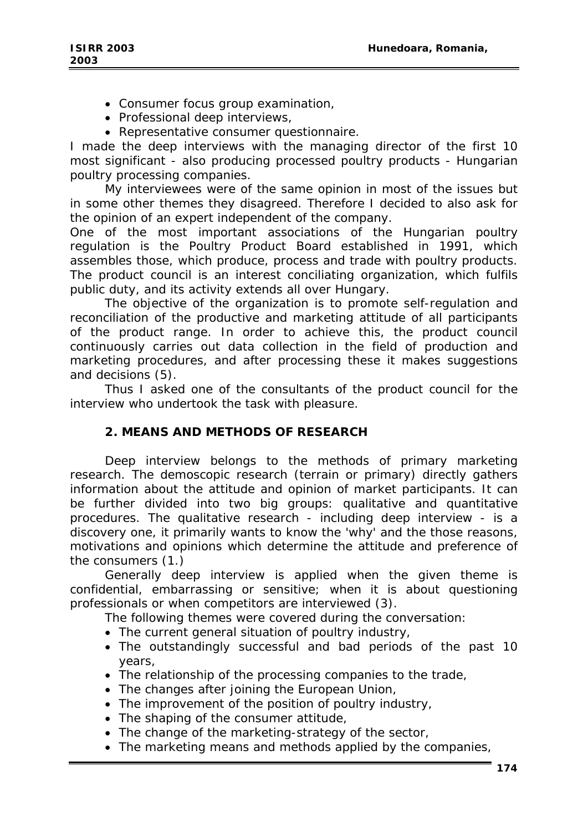- Consumer focus group examination,
- Professional deep interviews,
- Representative consumer questionnaire.

I made the deep interviews with the managing director of the first 10 most significant - also producing processed poultry products - Hungarian poultry processing companies.

My interviewees were of the same opinion in most of the issues but in some other themes they disagreed. Therefore I decided to also ask for the opinion of an expert independent of the company.

One of the most important associations of the Hungarian poultry regulation is the Poultry Product Board established in 1991, which assembles those, which produce, process and trade with poultry products. The product council is an interest conciliating organization, which fulfils public duty, and its activity extends all over Hungary.

The objective of the organization is to promote self-regulation and reconciliation of the productive and marketing attitude of all participants of the product range. In order to achieve this, the product council continuously carries out data collection in the field of production and marketing procedures, and after processing these it makes suggestions and decisions (5).

Thus I asked one of the consultants of the product council for the interview who undertook the task with pleasure.

# **2. MEANS AND METHODS OF RESEARCH**

Deep interview belongs to the methods of primary marketing research. The demoscopic research (terrain or primary) directly gathers information about the attitude and opinion of market participants. It can be further divided into two big groups: qualitative and quantitative procedures. The qualitative research - including deep interview - is a discovery one, it primarily wants to know the 'why' and the those reasons, motivations and opinions which determine the attitude and preference of the consumers (1.)

Generally deep interview is applied when the given theme is confidential, embarrassing or sensitive; when it is about questioning professionals or when competitors are interviewed (3).

The following themes were covered during the conversation:

- The current general situation of poultry industry,
- The outstandingly successful and bad periods of the past 10 years,
- The relationship of the processing companies to the trade,
- The changes after joining the European Union,
- The improvement of the position of poultry industry,
- The shaping of the consumer attitude,
- The change of the marketing-strategy of the sector,
- The marketing means and methods applied by the companies,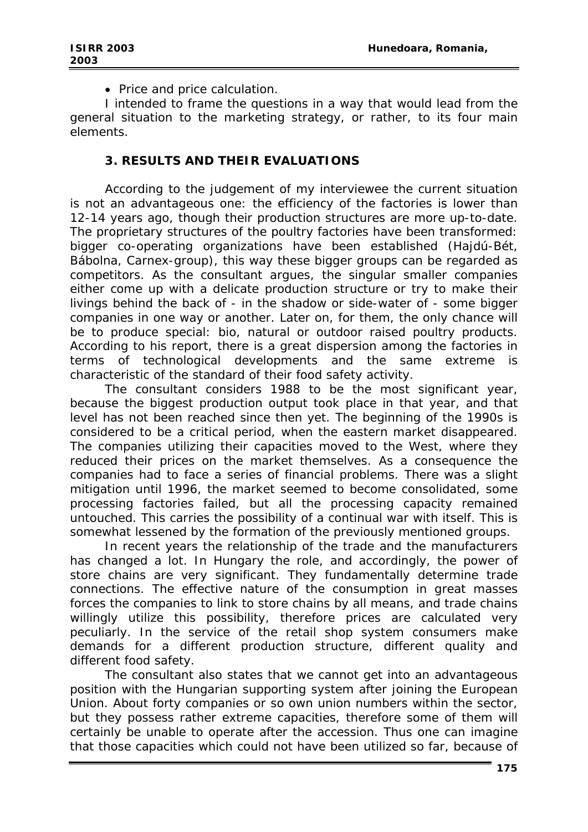• Price and price calculation.

I intended to frame the questions in a way that would lead from the general situation to the marketing strategy, or rather, to its four main elements.

### **3. RESULTS AND THEIR EVALUATIONS**

According to the judgement of my interviewee the current situation is not an advantageous one: the efficiency of the factories is lower than 12-14 years ago, though their production structures are more up-to-date. The proprietary structures of the poultry factories have been transformed: bigger co-operating organizations have been established (Hajdú-Bét, Bábolna, Carnex-group), this way these bigger groups can be regarded as competitors. As the consultant argues, the singular smaller companies either come up with a delicate production structure or try to make their livings behind the back of - in the shadow or side-water of - some bigger companies in one way or another. Later on, for them, the only chance will be to produce special: bio, natural or outdoor raised poultry products. According to his report, there is a great dispersion among the factories in terms of technological developments and the same extreme is characteristic of the standard of their food safety activity.

The consultant considers 1988 to be the most significant year, because the biggest production output took place in that year, and that level has not been reached since then yet. The beginning of the 1990s is considered to be a critical period, when the eastern market disappeared. The companies utilizing their capacities moved to the West, where they reduced their prices on the market themselves. As a consequence the companies had to face a series of financial problems. There was a slight mitigation until 1996, the market seemed to become consolidated, some processing factories failed, but all the processing capacity remained untouched. This carries the possibility of a continual war with itself. This is somewhat lessened by the formation of the previously mentioned groups.

In recent years the relationship of the trade and the manufacturers has changed a lot. In Hungary the role, and accordingly, the power of store chains are very significant. They fundamentally determine trade connections. The effective nature of the consumption in great masses forces the companies to link to store chains by all means, and trade chains willingly utilize this possibility, therefore prices are calculated very peculiarly. In the service of the retail shop system consumers make demands for a different production structure, different quality and different food safety.

The consultant also states that we cannot get into an advantageous position with the Hungarian supporting system after joining the European Union. About forty companies or so own union numbers within the sector, but they possess rather extreme capacities, therefore some of them will certainly be unable to operate after the accession. Thus one can imagine that those capacities which could not have been utilized so far, because of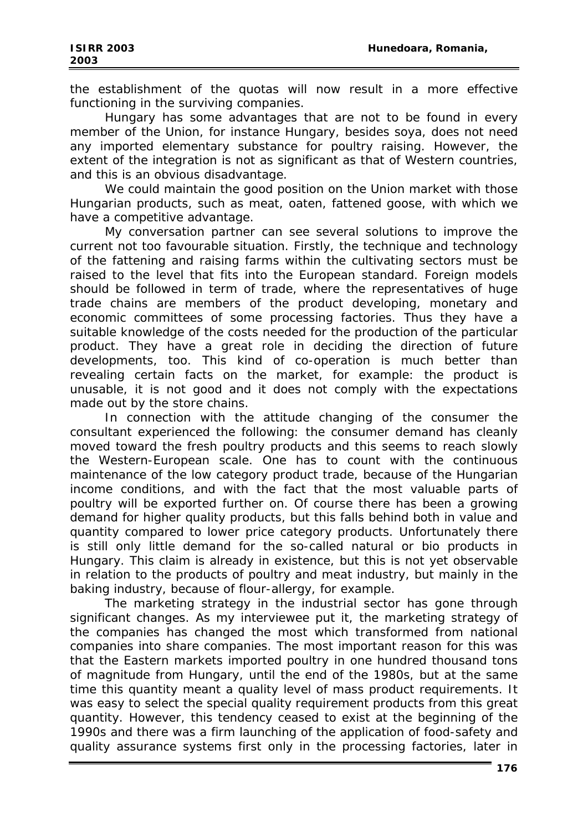the establishment of the quotas will now result in a more effective functioning in the surviving companies.

Hungary has some advantages that are not to be found in every member of the Union, for instance Hungary, besides soya, does not need any imported elementary substance for poultry raising. However, the extent of the integration is not as significant as that of Western countries, and this is an obvious disadvantage.

We could maintain the good position on the Union market with those Hungarian products, such as meat, oaten, fattened goose, with which we have a competitive advantage.

My conversation partner can see several solutions to improve the current not too favourable situation. Firstly, the technique and technology of the fattening and raising farms within the cultivating sectors must be raised to the level that fits into the European standard. Foreign models should be followed in term of trade, where the representatives of huge trade chains are members of the product developing, monetary and economic committees of some processing factories. Thus they have a suitable knowledge of the costs needed for the production of the particular product. They have a great role in deciding the direction of future developments, too. This kind of co-operation is much better than revealing certain facts on the market, for example: the product is unusable, it is not good and it does not comply with the expectations made out by the store chains.

In connection with the attitude changing of the consumer the consultant experienced the following: the consumer demand has cleanly moved toward the fresh poultry products and this seems to reach slowly the Western-European scale. One has to count with the continuous maintenance of the low category product trade, because of the Hungarian income conditions, and with the fact that the most valuable parts of poultry will be exported further on. Of course there has been a growing demand for higher quality products, but this falls behind both in value and quantity compared to lower price category products. Unfortunately there is still only little demand for the so-called natural or bio products in Hungary. This claim is already in existence, but this is not yet observable in relation to the products of poultry and meat industry, but mainly in the baking industry, because of flour-allergy, for example.

The marketing strategy in the industrial sector has gone through significant changes. As my interviewee put it, the marketing strategy of the companies has changed the most which transformed from national companies into share companies. The most important reason for this was that the Eastern markets imported poultry in one hundred thousand tons of magnitude from Hungary, until the end of the 1980s, but at the same time this quantity meant a quality level of mass product requirements. It was easy to select the special quality requirement products from this great quantity. However, this tendency ceased to exist at the beginning of the 1990s and there was a firm launching of the application of food-safety and quality assurance systems first only in the processing factories, later in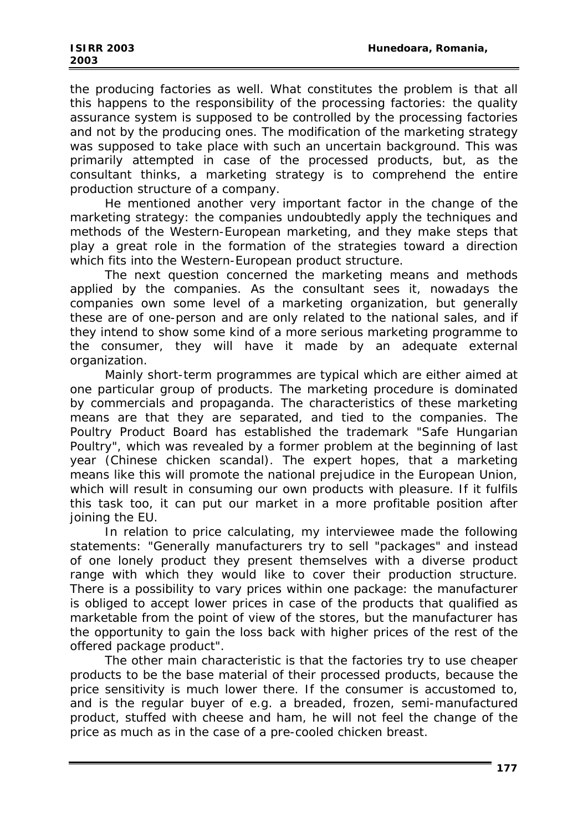the producing factories as well. What constitutes the problem is that all this happens to the responsibility of the processing factories: the quality assurance system is supposed to be controlled by the processing factories and not by the producing ones. The modification of the marketing strategy was supposed to take place with such an uncertain background. This was primarily attempted in case of the processed products, but, as the consultant thinks, a marketing strategy is to comprehend the entire production structure of a company.

He mentioned another very important factor in the change of the marketing strategy: the companies undoubtedly apply the techniques and methods of the Western-European marketing, and they make steps that play a great role in the formation of the strategies toward a direction which fits into the Western-European product structure.

The next question concerned the marketing means and methods applied by the companies. As the consultant sees it, nowadays the companies own some level of a marketing organization, but generally these are of one-person and are only related to the national sales, and if they intend to show some kind of a more serious marketing programme to the consumer, they will have it made by an adequate external organization.

Mainly short-term programmes are typical which are either aimed at one particular group of products. The marketing procedure is dominated by commercials and propaganda. The characteristics of these marketing means are that they are separated, and tied to the companies. The Poultry Product Board has established the trademark "Safe Hungarian Poultry", which was revealed by a former problem at the beginning of last year (Chinese chicken scandal). The expert hopes, that a marketing means like this will promote the national prejudice in the European Union, which will result in consuming our own products with pleasure. If it fulfils this task too, it can put our market in a more profitable position after joining the EU.

In relation to price calculating, my interviewee made the following statements: "Generally manufacturers try to sell "packages" and instead of one lonely product they present themselves with a diverse product range with which they would like to cover their production structure. There is a possibility to vary prices within one package: the manufacturer is obliged to accept lower prices in case of the products that qualified as marketable from the point of view of the stores, but the manufacturer has the opportunity to gain the loss back with higher prices of the rest of the offered package product".

The other main characteristic is that the factories try to use cheaper products to be the base material of their processed products, because the price sensitivity is much lower there. If the consumer is accustomed to, and is the regular buyer of e.g. a breaded, frozen, semi-manufactured product, stuffed with cheese and ham, he will not feel the change of the price as much as in the case of a pre-cooled chicken breast.